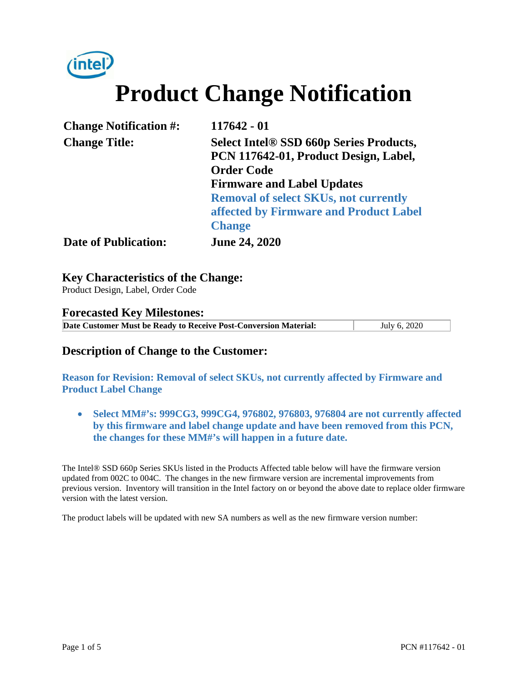

# **Product Change Notification**

| <b>Change Notification #:</b> | 117642 - 01                                    |
|-------------------------------|------------------------------------------------|
| <b>Change Title:</b>          | <b>Select Intel® SSD 660p Series Products,</b> |
|                               | PCN 117642-01, Product Design, Label,          |
|                               | <b>Order Code</b>                              |
|                               | <b>Firmware and Label Updates</b>              |
|                               | <b>Removal of select SKUs, not currently</b>   |
|                               | affected by Firmware and Product Label         |
|                               | <b>Change</b>                                  |
| <b>Date of Publication:</b>   | <b>June 24, 2020</b>                           |

**Key Characteristics of the Change:**

Product Design, Label, Order Code

#### **Forecasted Key Milestones:**

**Date Customer Must be Ready to Receive Post-Conversion Material:** July 6, 2020

### **Description of Change to the Customer:**

**Reason for Revision: Removal of select SKUs, not currently affected by Firmware and Product Label Change** 

 **Select MM#'s: 999CG3, 999CG4, 976802, 976803, 976804 are not currently affected by this firmware and label change update and have been removed from this PCN, the changes for these MM#'s will happen in a future date.** 

The Intel® SSD 660p Series SKUs listed in the Products Affected table below will have the firmware version updated from 002C to 004C. The changes in the new firmware version are incremental improvements from previous version. Inventory will transition in the Intel factory on or beyond the above date to replace older firmware version with the latest version.

The product labels will be updated with new SA numbers as well as the new firmware version number: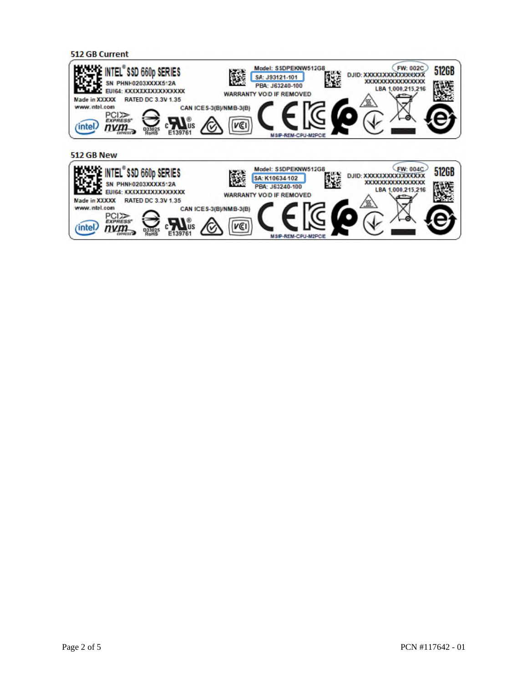

MSIP-REM-CPU-M2P

**VEI** 

PCI<sub>22</sub>

 $num_{\geq}$ 

(intel)

 $\sum_{E139761}$ 

lus

C

**D33025**<br>RoHS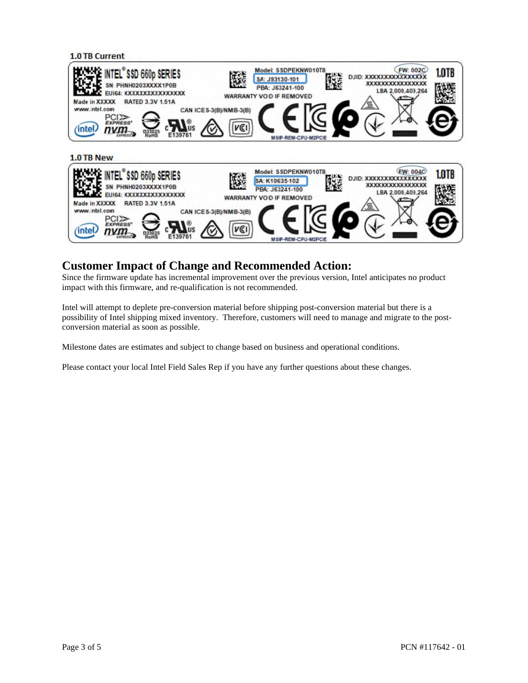

## **Customer Impact of Change and Recommended Action:**

Since the firmware update has incremental improvement over the previous version, Intel anticipates no product impact with this firmware, and re-qualification is not recommended.

Intel will attempt to deplete pre-conversion material before shipping post-conversion material but there is a possibility of Intel shipping mixed inventory. Therefore, customers will need to manage and migrate to the postconversion material as soon as possible.

Milestone dates are estimates and subject to change based on business and operational conditions.

Please contact your local Intel Field Sales Rep if you have any further questions about these changes.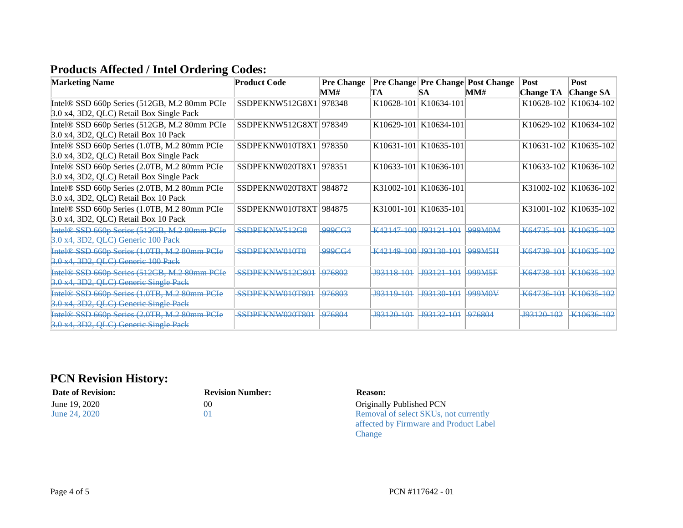# **Products Affected / Intel Ordering Codes:**

| <b>Marketing Name</b>                                    | <b>Product Code</b>    | <b>Pre Change</b> |                        |                       | <b>Pre Change Pre Change Post Change</b> | <b>Post</b>            | <b>Post</b>            |
|----------------------------------------------------------|------------------------|-------------------|------------------------|-----------------------|------------------------------------------|------------------------|------------------------|
|                                                          |                        | MM#               | TA                     | SА                    | MMH                                      | <b>Change TA</b>       | <b>Change SA</b>       |
| Intel® SSD 660p Series (512GB, M.2 80mm PCIe             | SSDPEKNW512G8X1        | 978348            |                        | K10628-101 K10634-101 |                                          | K10628-102             | K10634-102             |
| 3.0 x4, 3D2, QLC) Retail Box Single Pack                 |                        |                   |                        |                       |                                          |                        |                        |
| Intel® SSD 660p Series (512GB, M.2 80mm PCIe             | SSDPEKNW512G8XT 978349 |                   |                        | K10629-101 K10634-101 |                                          | K10629-102             | K10634-102             |
| $3.0$ x4, 3D2, QLC) Retail Box 10 Pack                   |                        |                   |                        |                       |                                          |                        |                        |
| Intel® SSD 660p Series (1.0TB, M.2 80mm PCIe             | SSDPEKNW010T8X1        | 978350            |                        | K10631-101 K10635-101 |                                          | K10631-102             | K10635-102             |
| 3.0 x4, 3D2, QLC) Retail Box Single Pack                 |                        |                   |                        |                       |                                          |                        |                        |
| Intel® SSD 660p Series (2.0TB, M.2 80mm PCIe             | SSDPEKNW020T8X1        | 978351            |                        | K10633-101 K10636-101 |                                          | K10633-102             | K10636-102             |
| 3.0 x4, 3D2, QLC) Retail Box Single Pack                 |                        |                   |                        |                       |                                          |                        |                        |
| Intel® SSD 660p Series (2.0TB, M.2 80mm PCIe             | SSDPEKNW020T8XT 984872 |                   |                        | K31002-101 K10636-101 |                                          | K31002-102             | K10636-102             |
| $3.0$ x4, 3D2, QLC) Retail Box 10 Pack                   |                        |                   |                        |                       |                                          |                        |                        |
| Intel® SSD 660p Series (1.0TB, M.2 80mm PCIe             | SSDPEKNW010T8XT        | 984875            | K31001-101 K10635-101  |                       |                                          | K31001-102             | K10635-102             |
| 3.0 x4, 3D2, QLC) Retail Box 10 Pack                     |                        |                   |                        |                       |                                          |                        |                        |
| Intel <sup>®</sup> SSD 660p Series (512GB, M.2 80mm PCIe | SSDPEKNW512G8          | 999CG3            | K42147 100 J93121 101  |                       | 999M0M                                   | K64735 101             | K <sub>10635</sub> 102 |
| 3.0 x4, 3D2, QLC) Generic 100 Pack                       |                        |                   |                        |                       |                                          |                        |                        |
| Intel® SSD 660p Series (1.0TB, M.2 80mm PCIe             | SSDPEKNW010T8          | <u>999CG4</u>     | K42149 100 193130 101  |                       | <b>999M5H</b>                            | K64739 101             | <del>K10635 102</del>  |
| 3.0 x4, 3D2, QLC) Generic 100 Pack                       |                        |                   |                        |                       |                                          |                        |                        |
| Intel® SSD 660p Series (512GB, M.2 80mm PCIe             | SSDPEKNW512G801        | 976802            | 193118 101             | J93121 101            | <b>999M5F</b>                            | K <sub>64738</sub> 101 | K <sub>10635</sub> 102 |
| 3.0 x4, 3D2, QLC) Generic Single Pack                    |                        |                   |                        |                       |                                          |                        |                        |
| Intel® SSD 660p Series (1.0TB, M.2 80mm PCIe             | SSDPEKNW010T801        | 976803            | <del>.J93119-101</del> | <del>J93130 101</del> | <u>999M0V</u>                            | K64736 101             | K <sub>10635</sub> 102 |
| 3.0 x4, 3D2, QLC) Generic Single Pack                    |                        |                   |                        |                       |                                          |                        |                        |
| Intel® SSD 660p Series (2.0TB, M.2 80mm PCIe             | SSDPEKNW020T801        | 976804            | J93120 101             | 193132 101            | 976804                                   | J93120 102             | <del>K10636 102</del>  |
| 3.0 x4, 3D2, QLC) Generic Single Pack                    |                        |                   |                        |                       |                                          |                        |                        |

## **PCN Revision History:**

#### **Date of Revision: Revision Number: Reason:**

|  | June 19, 2020 |
|--|---------------|
|  | June 24, 2020 |

# 00 01

Originally Published PCN Removal of select SKUs, not currently affected by Firmware and Product Label Change